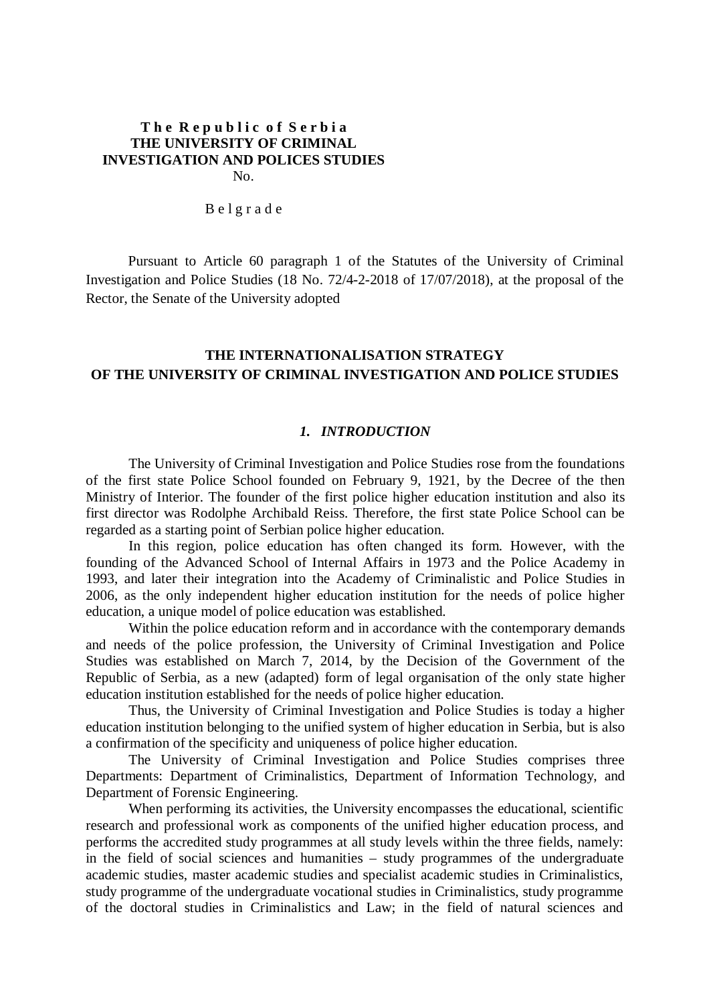## **T h e R e p u b l i c o f S e r b i a THE UNIVERSITY OF CRIMINAL INVESTIGATION AND POLICES STUDIES**  No.

B e l g r a d e

Pursuant to Article 60 paragraph 1 of the Statutes of the University of Criminal Investigation and Police Studies (18 No. 72/4-2-2018 of 17/07/2018), at the proposal of the Rector, the Senate of the University adopted

# **THE INTERNATIONALISATION STRATEGY OF THE UNIVERSITY OF CRIMINAL INVESTIGATION AND POLICE STUDIES**

### *1. INTRODUCTION*

The University of Criminal Investigation and Police Studies rose from the foundations of the first state Police School founded on February 9, 1921, by the Decree of the then Ministry of Interior. The founder of the first police higher education institution and also its first director was Rodolphe Archibald Reiss. Therefore, the first state Police School can be regarded as a starting point of Serbian police higher education.

In this region, police education has often changed its form. However, with the founding of the Advanced School of Internal Affairs in 1973 and the Police Academy in 1993, and later their integration into the Academy of Criminalistic and Police Studies in 2006, as the only independent higher education institution for the needs of police higher education, a unique model of police education was established.

Within the police education reform and in accordance with the contemporary demands and needs of the police profession, the University of Criminal Investigation and Police Studies was established on March 7, 2014, by the Decision of the Government of the Republic of Serbia, as a new (adapted) form of legal organisation of the only state higher education institution established for the needs of police higher education.

Thus, the University of Criminal Investigation and Police Studies is today a higher education institution belonging to the unified system of higher education in Serbia, but is also a confirmation of the specificity and uniqueness of police higher education.

The University of Criminal Investigation and Police Studies comprises three Departments: Department of Criminalistics, Department of Information Technology, and Department of Forensic Engineering.

When performing its activities, the University encompasses the educational, scientific research and professional work as components of the unified higher education process, and performs the accredited study programmes at all study levels within the three fields, namely: in the field of social sciences and humanities – study programmes of the undergraduate academic studies, master academic studies and specialist academic studies in Criminalistics, study programme of the undergraduate vocational studies in Criminalistics, study programme of the doctoral studies in Criminalistics and Law; in the field of natural sciences and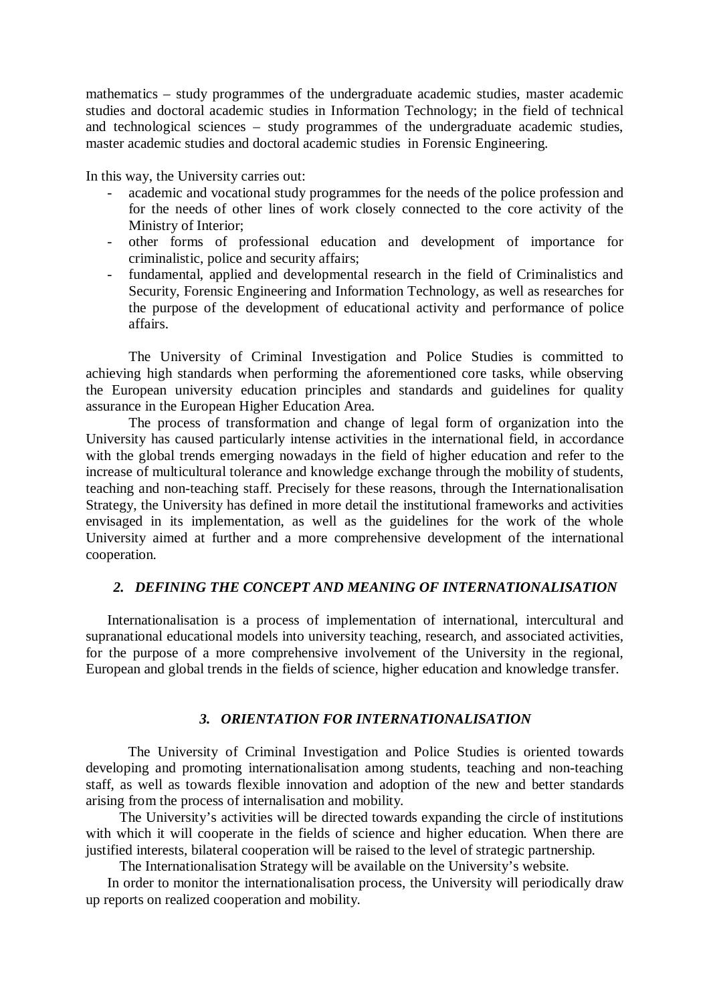mathematics – study programmes of the undergraduate academic studies, master academic studies and doctoral academic studies in Information Technology; in the field of technical and technological sciences – study programmes of the undergraduate academic studies, master academic studies and doctoral academic studies in Forensic Engineering.

In this way, the University carries out:

- academic and vocational study programmes for the needs of the police profession and for the needs of other lines of work closely connected to the core activity of the Ministry of Interior;
- other forms of professional education and development of importance for criminalistic, police and security affairs;
- fundamental, applied and developmental research in the field of Criminalistics and Security, Forensic Engineering and Information Technology, as well as researches for the purpose of the development of educational activity and performance of police affairs.

The University of Criminal Investigation and Police Studies is committed to achieving high standards when performing the aforementioned core tasks, while observing the European university education principles and standards and guidelines for quality assurance in the European Higher Education Area.

The process of transformation and change of legal form of organization into the University has caused particularly intense activities in the international field, in accordance with the global trends emerging nowadays in the field of higher education and refer to the increase of multicultural tolerance and knowledge exchange through the mobility of students, teaching and non-teaching staff. Precisely for these reasons, through the Internationalisation Strategy, the University has defined in more detail the institutional frameworks and activities envisaged in its implementation, as well as the guidelines for the work of the whole University aimed at further and a more comprehensive development of the international cooperation.

# *2. DEFINING THE CONCEPT AND MEANING OF INTERNATIONALISATION*

Internationalisation is a process of implementation of international, intercultural and supranational educational models into university teaching, research, and associated activities, for the purpose of a more comprehensive involvement of the University in the regional, European and global trends in the fields of science, higher education and knowledge transfer.

#### *3. ORIENTATION FOR INTERNATIONALISATION*

The University of Criminal Investigation and Police Studies is oriented towards developing and promoting internationalisation among students, teaching and non-teaching staff, as well as towards flexible innovation and adoption of the new and better standards arising from the process of internalisation and mobility.

The University's activities will be directed towards expanding the circle of institutions with which it will cooperate in the fields of science and higher education. When there are justified interests, bilateral cooperation will be raised to the level of strategic partnership.

The Internationalisation Strategy will be available on the University's website.

In order to monitor the internationalisation process, the University will periodically draw up reports on realized cooperation and mobility.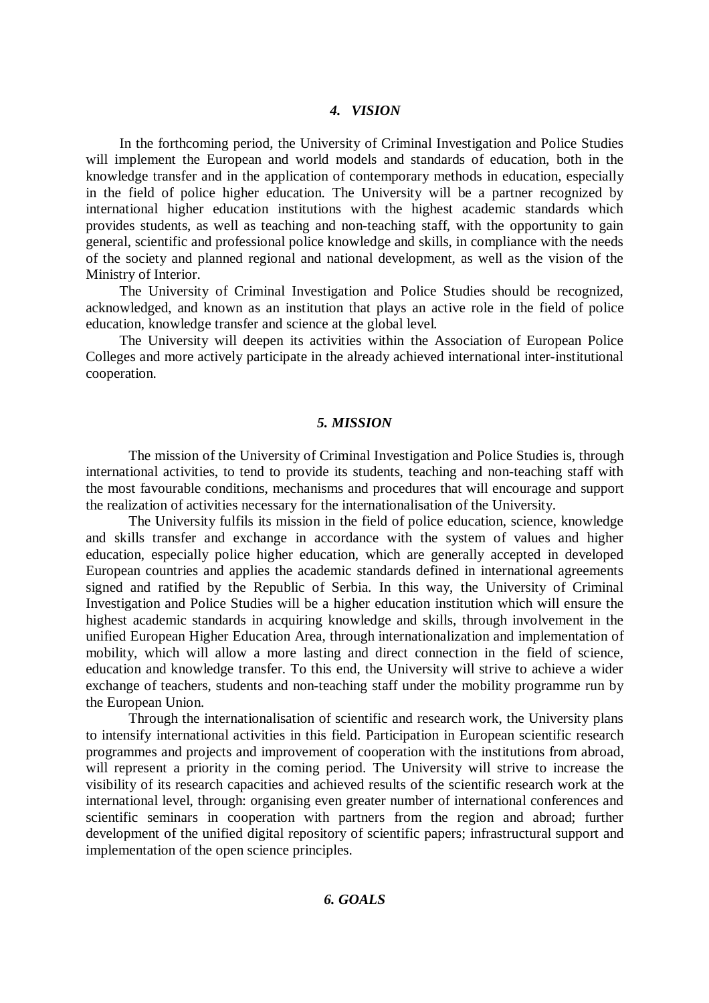## *4. VISION*

In the forthcoming period, the University of Criminal Investigation and Police Studies will implement the European and world models and standards of education, both in the knowledge transfer and in the application of contemporary methods in education, especially in the field of police higher education. The University will be a partner recognized by international higher education institutions with the highest academic standards which provides students, as well as teaching and non-teaching staff, with the opportunity to gain general, scientific and professional police knowledge and skills, in compliance with the needs of the society and planned regional and national development, as well as the vision of the Ministry of Interior.

The University of Criminal Investigation and Police Studies should be recognized, acknowledged, and known as an institution that plays an active role in the field of police education, knowledge transfer and science at the global level.

The University will deepen its activities within the Association of European Police Colleges and more actively participate in the already achieved international inter-institutional cooperation.

### *5. MISSION*

The mission of the University of Criminal Investigation and Police Studies is, through international activities, to tend to provide its students, teaching and non-teaching staff with the most favourable conditions, mechanisms and procedures that will encourage and support the realization of activities necessary for the internationalisation of the University.

The University fulfils its mission in the field of police education, science, knowledge and skills transfer and exchange in accordance with the system of values and higher education, especially police higher education, which are generally accepted in developed European countries and applies the academic standards defined in international agreements signed and ratified by the Republic of Serbia. In this way, the University of Criminal Investigation and Police Studies will be a higher education institution which will ensure the highest academic standards in acquiring knowledge and skills, through involvement in the unified European Higher Education Area, through internationalization and implementation of mobility, which will allow a more lasting and direct connection in the field of science, education and knowledge transfer. To this end, the University will strive to achieve a wider exchange of teachers, students and non-teaching staff under the mobility programme run by the European Union.

Through the internationalisation of scientific and research work, the University plans to intensify international activities in this field. Participation in European scientific research programmes and projects and improvement of cooperation with the institutions from abroad, will represent a priority in the coming period. The University will strive to increase the visibility of its research capacities and achieved results of the scientific research work at the international level, through: organising even greater number of international conferences and scientific seminars in cooperation with partners from the region and abroad; further development of the unified digital repository of scientific papers; infrastructural support and implementation of the open science principles.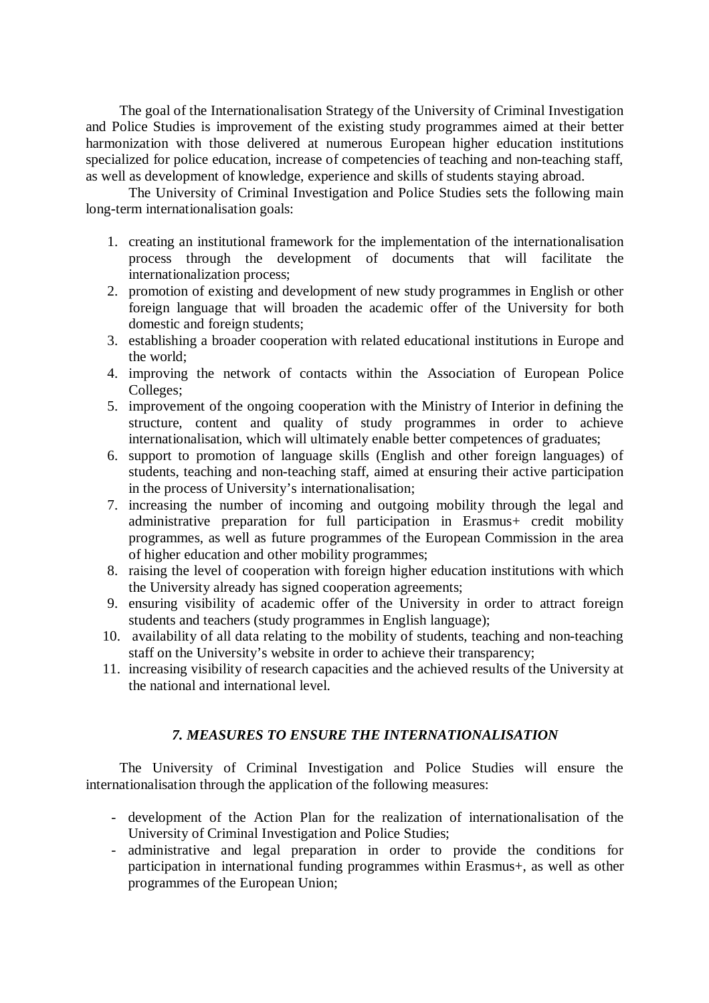The goal of the Internationalisation Strategy of the University of Criminal Investigation and Police Studies is improvement of the existing study programmes aimed at their better harmonization with those delivered at numerous European higher education institutions specialized for police education, increase of competencies of teaching and non-teaching staff, as well as development of knowledge, experience and skills of students staying abroad.

The University of Criminal Investigation and Police Studies sets the following main long-term internationalisation goals:

- 1. creating an institutional framework for the implementation of the internationalisation process through the development of documents that will facilitate the internationalization process;
- 2. promotion of existing and development of new study programmes in English or other foreign language that will broaden the academic offer of the University for both domestic and foreign students;
- 3. establishing a broader cooperation with related educational institutions in Europe and the world;
- 4. improving the network of contacts within the Association of European Police Colleges;
- 5. improvement of the ongoing cooperation with the Ministry of Interior in defining the structure, content and quality of study programmes in order to achieve internationalisation, which will ultimately enable better competences of graduates;
- 6. support to promotion of language skills (English and other foreign languages) of students, teaching and non-teaching staff, aimed at ensuring their active participation in the process of University's internationalisation;
- 7. increasing the number of incoming and outgoing mobility through the legal and administrative preparation for full participation in Erasmus+ credit mobility programmes, as well as future programmes of the European Commission in the area of higher education and other mobility programmes;
- 8. raising the level of cooperation with foreign higher education institutions with which the University already has signed cooperation agreements;
- 9. ensuring visibility of academic offer of the University in order to attract foreign students and teachers (study programmes in English language);
- 10. availability of all data relating to the mobility of students, teaching and non-teaching staff on the University's website in order to achieve their transparency;
- 11. increasing visibility of research capacities and the achieved results of the University at the national and international level.

# *7. MEASURES TO ENSURE THE INTERNATIONALISATION*

The University of Criminal Investigation and Police Studies will ensure the internationalisation through the application of the following measures:

- development of the Action Plan for the realization of internationalisation of the University of Criminal Investigation and Police Studies;
- administrative and legal preparation in order to provide the conditions for participation in international funding programmes within Erasmus+, as well as other programmes of the European Union;